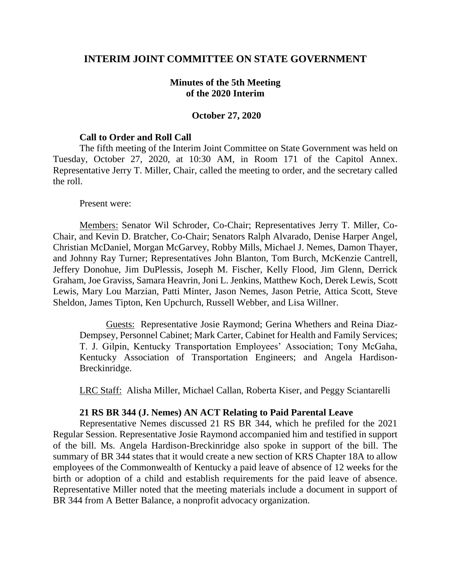## **INTERIM JOINT COMMITTEE ON STATE GOVERNMENT**

## **Minutes of the 5th Meeting of the 2020 Interim**

### **October 27, 2020**

#### **Call to Order and Roll Call**

The fifth meeting of the Interim Joint Committee on State Government was held on Tuesday, October 27, 2020, at 10:30 AM, in Room 171 of the Capitol Annex. Representative Jerry T. Miller, Chair, called the meeting to order, and the secretary called the roll.

#### Present were:

Members: Senator Wil Schroder, Co-Chair; Representatives Jerry T. Miller, Co-Chair, and Kevin D. Bratcher, Co-Chair; Senators Ralph Alvarado, Denise Harper Angel, Christian McDaniel, Morgan McGarvey, Robby Mills, Michael J. Nemes, Damon Thayer, and Johnny Ray Turner; Representatives John Blanton, Tom Burch, McKenzie Cantrell, Jeffery Donohue, Jim DuPlessis, Joseph M. Fischer, Kelly Flood, Jim Glenn, Derrick Graham, Joe Graviss, Samara Heavrin, Joni L. Jenkins, Matthew Koch, Derek Lewis, Scott Lewis, Mary Lou Marzian, Patti Minter, Jason Nemes, Jason Petrie, Attica Scott, Steve Sheldon, James Tipton, Ken Upchurch, Russell Webber, and Lisa Willner.

Guests: Representative Josie Raymond; Gerina Whethers and Reina Diaz-Dempsey, Personnel Cabinet; Mark Carter, Cabinet for Health and Family Services; T. J. Gilpin, Kentucky Transportation Employees' Association; Tony McGaha, Kentucky Association of Transportation Engineers; and Angela Hardison-Breckinridge.

LRC Staff: Alisha Miller, Michael Callan, Roberta Kiser, and Peggy Sciantarelli

### **21 RS BR 344 (J. Nemes) AN ACT Relating to Paid Parental Leave**

Representative Nemes discussed 21 RS BR 344, which he prefiled for the 2021 Regular Session. Representative Josie Raymond accompanied him and testified in support of the bill. Ms. Angela Hardison-Breckinridge also spoke in support of the bill. The summary of BR 344 states that it would create a new section of KRS Chapter 18A to allow employees of the Commonwealth of Kentucky a paid leave of absence of 12 weeks for the birth or adoption of a child and establish requirements for the paid leave of absence. Representative Miller noted that the meeting materials include a document in support of BR 344 from A Better Balance, a nonprofit advocacy organization.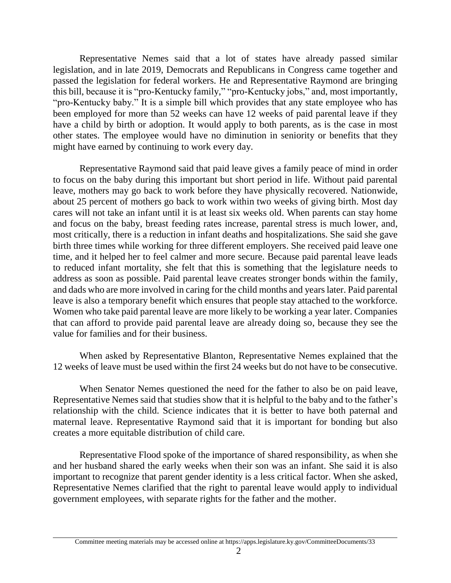Representative Nemes said that a lot of states have already passed similar legislation, and in late 2019, Democrats and Republicans in Congress came together and passed the legislation for federal workers. He and Representative Raymond are bringing this bill, because it is "pro-Kentucky family," "pro-Kentucky jobs," and, most importantly, "pro-Kentucky baby." It is a simple bill which provides that any state employee who has been employed for more than 52 weeks can have 12 weeks of paid parental leave if they have a child by birth or adoption. It would apply to both parents, as is the case in most other states. The employee would have no diminution in seniority or benefits that they might have earned by continuing to work every day.

Representative Raymond said that paid leave gives a family peace of mind in order to focus on the baby during this important but short period in life. Without paid parental leave, mothers may go back to work before they have physically recovered. Nationwide, about 25 percent of mothers go back to work within two weeks of giving birth. Most day cares will not take an infant until it is at least six weeks old. When parents can stay home and focus on the baby, breast feeding rates increase, parental stress is much lower, and, most critically, there is a reduction in infant deaths and hospitalizations. She said she gave birth three times while working for three different employers. She received paid leave one time, and it helped her to feel calmer and more secure. Because paid parental leave leads to reduced infant mortality, she felt that this is something that the legislature needs to address as soon as possible. Paid parental leave creates stronger bonds within the family, and dads who are more involved in caring for the child months and years later. Paid parental leave is also a temporary benefit which ensures that people stay attached to the workforce. Women who take paid parental leave are more likely to be working a year later. Companies that can afford to provide paid parental leave are already doing so, because they see the value for families and for their business.

When asked by Representative Blanton, Representative Nemes explained that the 12 weeks of leave must be used within the first 24 weeks but do not have to be consecutive.

When Senator Nemes questioned the need for the father to also be on paid leave, Representative Nemes said that studies show that it is helpful to the baby and to the father's relationship with the child. Science indicates that it is better to have both paternal and maternal leave. Representative Raymond said that it is important for bonding but also creates a more equitable distribution of child care.

Representative Flood spoke of the importance of shared responsibility, as when she and her husband shared the early weeks when their son was an infant. She said it is also important to recognize that parent gender identity is a less critical factor. When she asked, Representative Nemes clarified that the right to parental leave would apply to individual government employees, with separate rights for the father and the mother.

Committee meeting materials may be accessed online at https://apps.legislature.ky.gov/CommitteeDocuments/33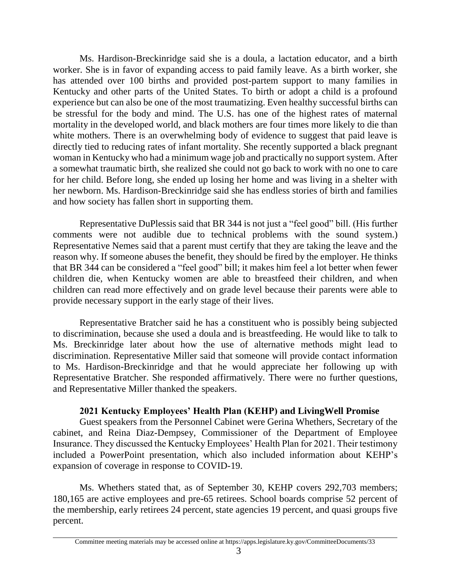Ms. Hardison-Breckinridge said she is a doula, a lactation educator, and a birth worker. She is in favor of expanding access to paid family leave. As a birth worker, she has attended over 100 births and provided post-partem support to many families in Kentucky and other parts of the United States. To birth or adopt a child is a profound experience but can also be one of the most traumatizing. Even healthy successful births can be stressful for the body and mind. The U.S. has one of the highest rates of maternal mortality in the developed world, and black mothers are four times more likely to die than white mothers. There is an overwhelming body of evidence to suggest that paid leave is directly tied to reducing rates of infant mortality. She recently supported a black pregnant woman in Kentucky who had a minimum wage job and practically no support system. After a somewhat traumatic birth, she realized she could not go back to work with no one to care for her child. Before long, she ended up losing her home and was living in a shelter with her newborn. Ms. Hardison-Breckinridge said she has endless stories of birth and families and how society has fallen short in supporting them.

Representative DuPlessis said that BR 344 is not just a "feel good" bill. (His further comments were not audible due to technical problems with the sound system.) Representative Nemes said that a parent must certify that they are taking the leave and the reason why. If someone abuses the benefit, they should be fired by the employer. He thinks that BR 344 can be considered a "feel good" bill; it makes him feel a lot better when fewer children die, when Kentucky women are able to breastfeed their children, and when children can read more effectively and on grade level because their parents were able to provide necessary support in the early stage of their lives.

Representative Bratcher said he has a constituent who is possibly being subjected to discrimination, because she used a doula and is breastfeeding. He would like to talk to Ms. Breckinridge later about how the use of alternative methods might lead to discrimination. Representative Miller said that someone will provide contact information to Ms. Hardison-Breckinridge and that he would appreciate her following up with Representative Bratcher. She responded affirmatively. There were no further questions, and Representative Miller thanked the speakers.

# **2021 Kentucky Employees' Health Plan (KEHP) and LivingWell Promise**

Guest speakers from the Personnel Cabinet were Gerina Whethers, Secretary of the cabinet, and Reina Diaz-Dempsey, Commissioner of the Department of Employee Insurance. They discussed the Kentucky Employees' Health Plan for 2021. Their testimony included a PowerPoint presentation, which also included information about KEHP's expansion of coverage in response to COVID-19.

Ms. Whethers stated that, as of September 30, KEHP covers 292,703 members; 180,165 are active employees and pre-65 retirees. School boards comprise 52 percent of the membership, early retirees 24 percent, state agencies 19 percent, and quasi groups five percent.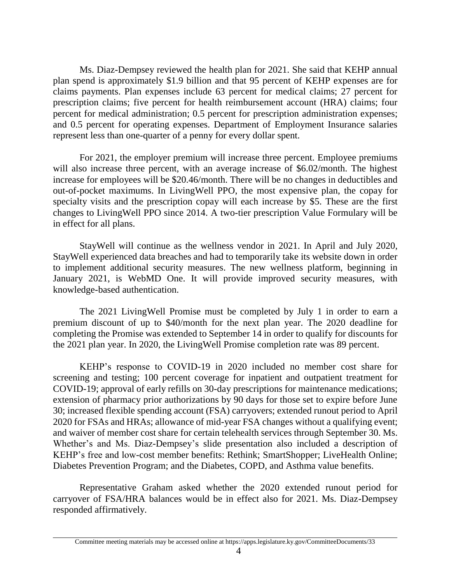Ms. Diaz-Dempsey reviewed the health plan for 2021. She said that KEHP annual plan spend is approximately \$1.9 billion and that 95 percent of KEHP expenses are for claims payments. Plan expenses include 63 percent for medical claims; 27 percent for prescription claims; five percent for health reimbursement account (HRA) claims; four percent for medical administration; 0.5 percent for prescription administration expenses; and 0.5 percent for operating expenses. Department of Employment Insurance salaries represent less than one-quarter of a penny for every dollar spent.

For 2021, the employer premium will increase three percent. Employee premiums will also increase three percent, with an average increase of \$6.02/month. The highest increase for employees will be \$20.46/month. There will be no changes in deductibles and out-of-pocket maximums. In LivingWell PPO, the most expensive plan, the copay for specialty visits and the prescription copay will each increase by \$5. These are the first changes to LivingWell PPO since 2014. A two-tier prescription Value Formulary will be in effect for all plans.

StayWell will continue as the wellness vendor in 2021. In April and July 2020, StayWell experienced data breaches and had to temporarily take its website down in order to implement additional security measures. The new wellness platform, beginning in January 2021, is WebMD One. It will provide improved security measures, with knowledge-based authentication.

The 2021 LivingWell Promise must be completed by July 1 in order to earn a premium discount of up to \$40/month for the next plan year. The 2020 deadline for completing the Promise was extended to September 14 in order to qualify for discounts for the 2021 plan year. In 2020, the LivingWell Promise completion rate was 89 percent.

KEHP's response to COVID-19 in 2020 included no member cost share for screening and testing; 100 percent coverage for inpatient and outpatient treatment for COVID-19; approval of early refills on 30-day prescriptions for maintenance medications; extension of pharmacy prior authorizations by 90 days for those set to expire before June 30; increased flexible spending account (FSA) carryovers; extended runout period to April 2020 for FSAs and HRAs; allowance of mid-year FSA changes without a qualifying event; and waiver of member cost share for certain telehealth services through September 30. Ms. Whether's and Ms. Diaz-Dempsey's slide presentation also included a description of KEHP's free and low-cost member benefits: Rethink; SmartShopper; LiveHealth Online; Diabetes Prevention Program; and the Diabetes, COPD, and Asthma value benefits.

Representative Graham asked whether the 2020 extended runout period for carryover of FSA/HRA balances would be in effect also for 2021. Ms. Diaz-Dempsey responded affirmatively.

Committee meeting materials may be accessed online at https://apps.legislature.ky.gov/CommitteeDocuments/33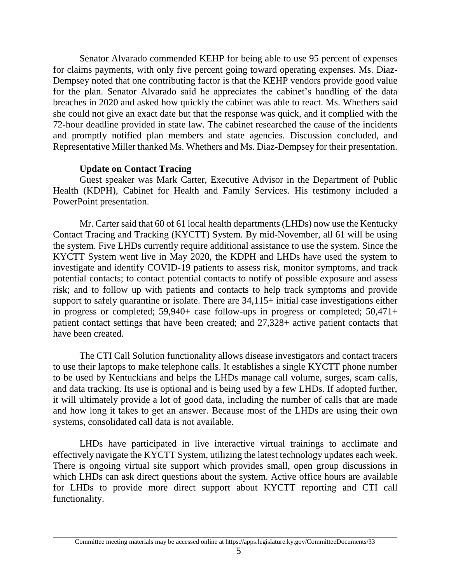Senator Alvarado commended KEHP for being able to use 95 percent of expenses for claims payments, with only five percent going toward operating expenses. Ms. Diaz-Dempsey noted that one contributing factor is that the KEHP vendors provide good value for the plan. Senator Alvarado said he appreciates the cabinet's handling of the data breaches in 2020 and asked how quickly the cabinet was able to react. Ms. Whethers said she could not give an exact date but that the response was quick, and it complied with the 72-hour deadline provided in state law. The cabinet researched the cause of the incidents and promptly notified plan members and state agencies. Discussion concluded, and Representative Miller thanked Ms. Whethers and Ms. Diaz-Dempsey for their presentation.

## **Update on Contact Tracing**

Guest speaker was Mark Carter, Executive Advisor in the Department of Public Health (KDPH), Cabinet for Health and Family Services. His testimony included a PowerPoint presentation.

Mr. Carter said that 60 of 61 local health departments (LHDs) now use the Kentucky Contact Tracing and Tracking (KYCTT) System. By mid-November, all 61 will be using the system. Five LHDs currently require additional assistance to use the system. Since the KYCTT System went live in May 2020, the KDPH and LHDs have used the system to investigate and identify COVID-19 patients to assess risk, monitor symptoms, and track potential contacts; to contact potential contacts to notify of possible exposure and assess risk; and to follow up with patients and contacts to help track symptoms and provide support to safely quarantine or isolate. There are 34,115+ initial case investigations either in progress or completed; 59,940+ case follow-ups in progress or completed; 50,471+ patient contact settings that have been created; and 27,328+ active patient contacts that have been created.

The CTI Call Solution functionality allows disease investigators and contact tracers to use their laptops to make telephone calls. It establishes a single KYCTT phone number to be used by Kentuckians and helps the LHDs manage call volume, surges, scam calls, and data tracking. Its use is optional and is being used by a few LHDs. If adopted further, it will ultimately provide a lot of good data, including the number of calls that are made and how long it takes to get an answer. Because most of the LHDs are using their own systems, consolidated call data is not available.

LHDs have participated in live interactive virtual trainings to acclimate and effectively navigate the KYCTT System, utilizing the latest technology updates each week. There is ongoing virtual site support which provides small, open group discussions in which LHDs can ask direct questions about the system. Active office hours are available for LHDs to provide more direct support about KYCTT reporting and CTI call functionality.

Committee meeting materials may be accessed online at https://apps.legislature.ky.gov/CommitteeDocuments/33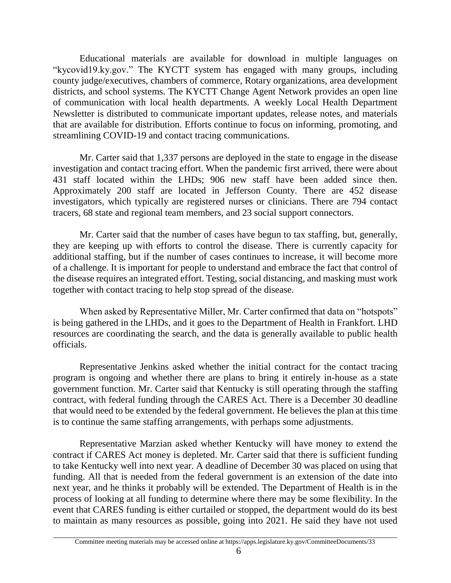Educational materials are available for download in multiple languages on "kycovid19.ky.gov." The KYCTT system has engaged with many groups, including county judge/executives, chambers of commerce, Rotary organizations, area development districts, and school systems. The KYCTT Change Agent Network provides an open line of communication with local health departments. A weekly Local Health Department Newsletter is distributed to communicate important updates, release notes, and materials that are available for distribution. Efforts continue to focus on informing, promoting, and streamlining COVID-19 and contact tracing communications.

Mr. Carter said that 1,337 persons are deployed in the state to engage in the disease investigation and contact tracing effort. When the pandemic first arrived, there were about 431 staff located within the LHDs; 906 new staff have been added since then. Approximately 200 staff are located in Jefferson County. There are 452 disease investigators, which typically are registered nurses or clinicians. There are 794 contact tracers, 68 state and regional team members, and 23 social support connectors.

Mr. Carter said that the number of cases have begun to tax staffing, but, generally, they are keeping up with efforts to control the disease. There is currently capacity for additional staffing, but if the number of cases continues to increase, it will become more of a challenge. It is important for people to understand and embrace the fact that control of the disease requires an integrated effort. Testing, social distancing, and masking must work together with contact tracing to help stop spread of the disease.

When asked by Representative Miller, Mr. Carter confirmed that data on "hotspots" is being gathered in the LHDs, and it goes to the Department of Health in Frankfort. LHD resources are coordinating the search, and the data is generally available to public health officials.

Representative Jenkins asked whether the initial contract for the contact tracing program is ongoing and whether there are plans to bring it entirely in-house as a state government function. Mr. Carter said that Kentucky is still operating through the staffing contract, with federal funding through the CARES Act. There is a December 30 deadline that would need to be extended by the federal government. He believes the plan at this time is to continue the same staffing arrangements, with perhaps some adjustments.

Representative Marzian asked whether Kentucky will have money to extend the contract if CARES Act money is depleted. Mr. Carter said that there is sufficient funding to take Kentucky well into next year. A deadline of December 30 was placed on using that funding. All that is needed from the federal government is an extension of the date into next year, and he thinks it probably will be extended. The Department of Health is in the process of looking at all funding to determine where there may be some flexibility. In the event that CARES funding is either curtailed or stopped, the department would do its best to maintain as many resources as possible, going into 2021. He said they have not used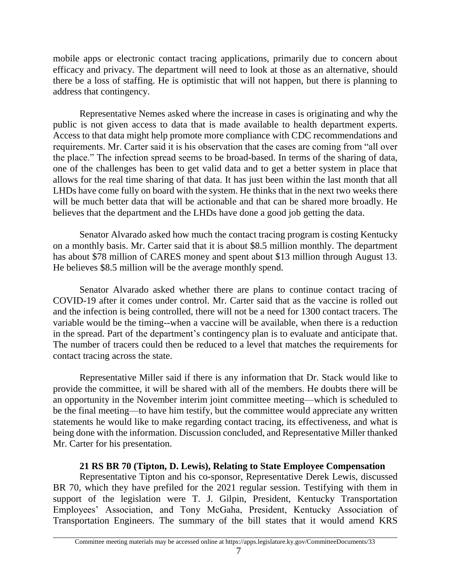mobile apps or electronic contact tracing applications, primarily due to concern about efficacy and privacy. The department will need to look at those as an alternative, should there be a loss of staffing. He is optimistic that will not happen, but there is planning to address that contingency.

Representative Nemes asked where the increase in cases is originating and why the public is not given access to data that is made available to health department experts. Access to that data might help promote more compliance with CDC recommendations and requirements. Mr. Carter said it is his observation that the cases are coming from "all over the place." The infection spread seems to be broad-based. In terms of the sharing of data, one of the challenges has been to get valid data and to get a better system in place that allows for the real time sharing of that data. It has just been within the last month that all LHDs have come fully on board with the system. He thinks that in the next two weeks there will be much better data that will be actionable and that can be shared more broadly. He believes that the department and the LHDs have done a good job getting the data.

Senator Alvarado asked how much the contact tracing program is costing Kentucky on a monthly basis. Mr. Carter said that it is about \$8.5 million monthly. The department has about \$78 million of CARES money and spent about \$13 million through August 13. He believes \$8.5 million will be the average monthly spend.

Senator Alvarado asked whether there are plans to continue contact tracing of COVID-19 after it comes under control. Mr. Carter said that as the vaccine is rolled out and the infection is being controlled, there will not be a need for 1300 contact tracers. The variable would be the timing--when a vaccine will be available, when there is a reduction in the spread. Part of the department's contingency plan is to evaluate and anticipate that. The number of tracers could then be reduced to a level that matches the requirements for contact tracing across the state.

Representative Miller said if there is any information that Dr. Stack would like to provide the committee, it will be shared with all of the members. He doubts there will be an opportunity in the November interim joint committee meeting—which is scheduled to be the final meeting—to have him testify, but the committee would appreciate any written statements he would like to make regarding contact tracing, its effectiveness, and what is being done with the information. Discussion concluded, and Representative Miller thanked Mr. Carter for his presentation.

# **21 RS BR 70 (Tipton, D. Lewis), Relating to State Employee Compensation**

Representative Tipton and his co-sponsor, Representative Derek Lewis, discussed BR 70, which they have prefiled for the 2021 regular session. Testifying with them in support of the legislation were T. J. Gilpin, President, Kentucky Transportation Employees' Association, and Tony McGaha, President, Kentucky Association of Transportation Engineers. The summary of the bill states that it would amend KRS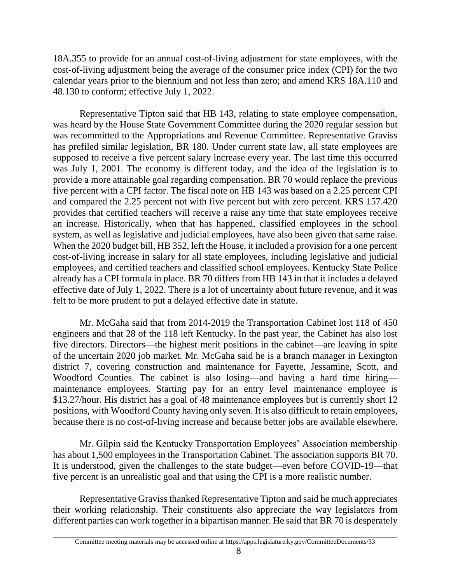18A.355 to provide for an annual cost-of-living adjustment for state employees, with the cost-of-living adjustment being the average of the consumer price index (CPI) for the two calendar years prior to the biennium and not less than zero; and amend KRS 18A.110 and 48.130 to conform; effective July 1, 2022.

Representative Tipton said that HB 143, relating to state employee compensation, was heard by the House State Government Committee during the 2020 regular session but was recommitted to the Appropriations and Revenue Committee. Representative Graviss has prefiled similar legislation, BR 180. Under current state law, all state employees are supposed to receive a five percent salary increase every year. The last time this occurred was July 1, 2001. The economy is different today, and the idea of the legislation is to provide a more attainable goal regarding compensation. BR 70 would replace the previous five percent with a CPI factor. The fiscal note on HB 143 was based on a 2.25 percent CPI and compared the 2.25 percent not with five percent but with zero percent. KRS 157.420 provides that certified teachers will receive a raise any time that state employees receive an increase. Historically, when that has happened, classified employees in the school system, as well as legislative and judicial employees, have also been given that same raise. When the 2020 budget bill, HB 352, left the House, it included a provision for a one percent cost-of-living increase in salary for all state employees, including legislative and judicial employees, and certified teachers and classified school employees. Kentucky State Police already has a CPI formula in place. BR 70 differs from HB 143 in that it includes a delayed effective date of July 1, 2022. There is a lot of uncertainty about future revenue, and it was felt to be more prudent to put a delayed effective date in statute.

Mr. McGaha said that from 2014-2019 the Transportation Cabinet lost 118 of 450 engineers and that 28 of the 118 left Kentucky. In the past year, the Cabinet has also lost five directors. Directors—the highest merit positions in the cabinet—are leaving in spite of the uncertain 2020 job market. Mr. McGaha said he is a branch manager in Lexington district 7, covering construction and maintenance for Fayette, Jessamine, Scott, and Woodford Counties. The cabinet is also losing—and having a hard time hiring maintenance employees. Starting pay for an entry level maintenance employee is \$13.27/hour. His district has a goal of 48 maintenance employees but is currently short 12 positions, with Woodford County having only seven. It is also difficult to retain employees, because there is no cost-of-living increase and because better jobs are available elsewhere.

Mr. Gilpin said the Kentucky Transportation Employees' Association membership has about 1,500 employees in the Transportation Cabinet. The association supports BR 70. It is understood, given the challenges to the state budget—even before COVID-19—that five percent is an unrealistic goal and that using the CPI is a more realistic number.

Representative Graviss thanked Representative Tipton and said he much appreciates their working relationship. Their constituents also appreciate the way legislators from different parties can work together in a bipartisan manner. He said that BR 70 is desperately